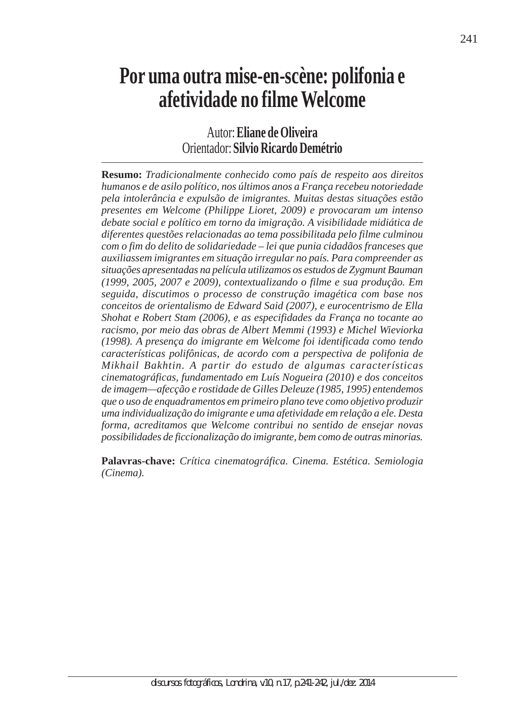## **Por uma outra mise-en-scène: polifonia e afetividade no filme Welcome**

Autor: **Eliane de Oliveira** Orientador: **Silvio Ricardo Demétrio**

**Resumo:** *Tradicionalmente conhecido como país de respeito aos direitos humanos e de asilo político, nos últimos anos a França recebeu notoriedade pela intolerância e expulsão de imigrantes. Muitas destas situações estão presentes em Welcome (Philippe Lioret, 2009) e provocaram um intenso debate social e político em torno da imigração. A visibilidade midiática de diferentes questões relacionadas ao tema possibilitada pelo filme culminou com o fim do delito de solidariedade – lei que punia cidadãos franceses que auxiliassem imigrantes em situação irregular no país. Para compreender as situações apresentadas na película utilizamos os estudos de Zygmunt Bauman (1999, 2005, 2007 e 2009), contextualizando o filme e sua produção. Em seguida, discutimos o processo de construção imagética com base nos conceitos de orientalismo de Edward Said (2007), e eurocentrismo de Ella Shohat e Robert Stam (2006), e as especifidades da França no tocante ao racismo, por meio das obras de Albert Memmi (1993) e Michel Wieviorka (1998). A presença do imigrante em Welcome foi identificada como tendo características polifônicas, de acordo com a perspectiva de polifonia de Mikhail Bakhtin. A partir do estudo de algumas características cinematográficas, fundamentado em Luís Nogueira (2010) e dos conceitos de imagem—afecção e rostidade de Gilles Deleuze (1985, 1995) entendemos que o uso de enquadramentos em primeiro plano teve como objetivo produzir uma individualização do imigrante e uma afetividade em relação a ele. Desta forma, acreditamos que Welcome contribui no sentido de ensejar novas possibilidades de ficcionalização do imigrante, bem como de outras minorias.*

**Palavras-chave:** *Crítica cinematográfica. Cinema. Estética. Semiologia (Cinema).*